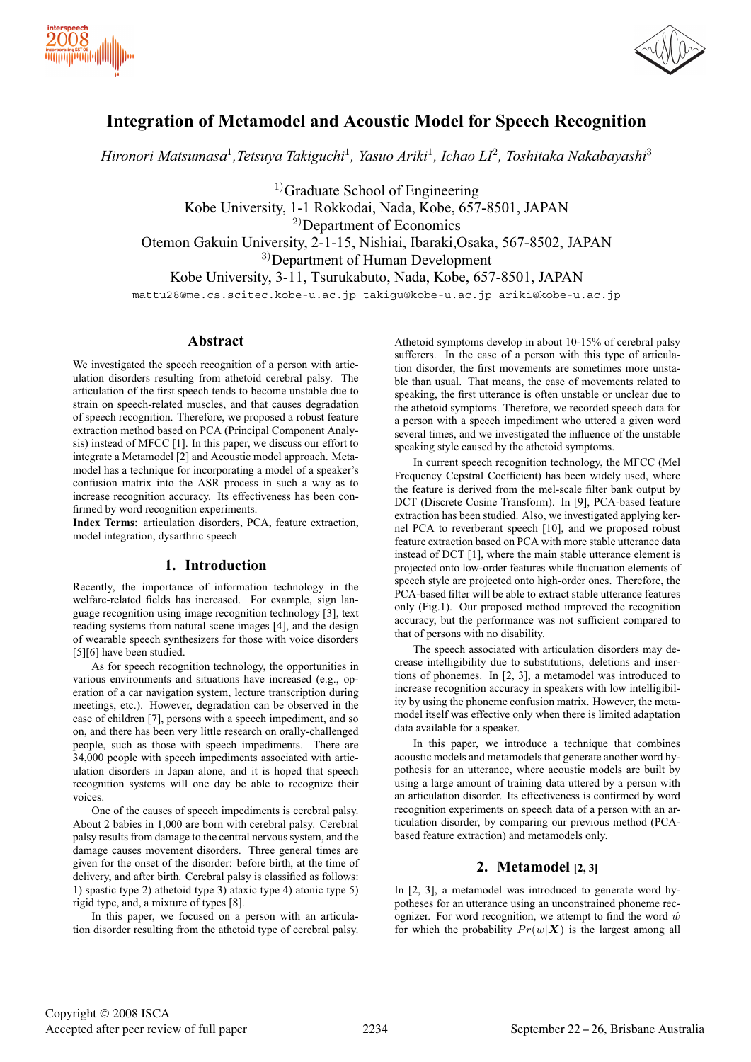



# **Integration of Metamodel and Acoustic Model for Speech Recognition**

*Hironori Matsumasa*<sup>1</sup>*,Tetsuya Takiguchi*<sup>1</sup>*, Yasuo Ariki*<sup>1</sup>*, Ichao LI*<sup>2</sup>*, Toshitaka Nakabayashi*<sup>3</sup>

 $<sup>1</sup>$ Graduate School of Engineering</sup> Kobe University, 1-1 Rokkodai, Nada, Kobe, 657-8501, JAPAN <sup>2)</sup>Department of Economics Otemon Gakuin University, 2-1-15, Nishiai, Ibaraki,Osaka, 567-8502, JAPAN 3)Department of Human Development Kobe University, 3-11, Tsurukabuto, Nada, Kobe, 657-8501, JAPAN mattu28@me.cs.scitec.kobe-u.ac.jp takigu@kobe-u.ac.jp ariki@kobe-u.ac.jp

### **Abstract**

We investigated the speech recognition of a person with articulation disorders resulting from athetoid cerebral palsy. The articulation of the first speech tends to become unstable due to strain on speech-related muscles, and that causes degradation of speech recognition. Therefore, we proposed a robust feature extraction method based on PCA (Principal Component Analysis) instead of MFCC [1]. In this paper, we discuss our effort to integrate a Metamodel [2] and Acoustic model approach. Metamodel has a technique for incorporating a model of a speaker's confusion matrix into the ASR process in such a way as to increase recognition accuracy. Its effectiveness has been confirmed by word recognition experiments.

**Index Terms**: articulation disorders, PCA, feature extraction, model integration, dysarthric speech

## **1. Introduction**

Recently, the importance of information technology in the welfare-related fields has increased. For example, sign language recognition using image recognition technology [3], text reading systems from natural scene images [4], and the design of wearable speech synthesizers for those with voice disorders [5][6] have been studied.

As for speech recognition technology, the opportunities in various environments and situations have increased (e.g., operation of a car navigation system, lecture transcription during meetings, etc.). However, degradation can be observed in the case of children [7], persons with a speech impediment, and so on, and there has been very little research on orally-challenged people, such as those with speech impediments. There are 34,000 people with speech impediments associated with articulation disorders in Japan alone, and it is hoped that speech recognition systems will one day be able to recognize their voices.

One of the causes of speech impediments is cerebral palsy. About 2 babies in 1,000 are born with cerebral palsy. Cerebral palsy results from damage to the central nervous system, and the damage causes movement disorders. Three general times are given for the onset of the disorder: before birth, at the time of delivery, and after birth. Cerebral palsy is classified as follows: 1) spastic type 2) athetoid type 3) ataxic type 4) atonic type 5) rigid type, and, a mixture of types [8].

In this paper, we focused on a person with an articulation disorder resulting from the athetoid type of cerebral palsy.

Athetoid symptoms develop in about 10-15% of cerebral palsy sufferers. In the case of a person with this type of articulation disorder, the first movements are sometimes more unstable than usual. That means, the case of movements related to speaking, the first utterance is often unstable or unclear due to the athetoid symptoms. Therefore, we recorded speech data for a person with a speech impediment who uttered a given word several times, and we investigated the influence of the unstable speaking style caused by the athetoid symptoms.

In current speech recognition technology, the MFCC (Mel Frequency Cepstral Coefficient) has been widely used, where the feature is derived from the mel-scale filter bank output by DCT (Discrete Cosine Transform). In [9], PCA-based feature extraction has been studied. Also, we investigated applying kernel PCA to reverberant speech [10], and we proposed robust feature extraction based on PCA with more stable utterance data instead of DCT [1], where the main stable utterance element is projected onto low-order features while fluctuation elements of speech style are projected onto high-order ones. Therefore, the PCA-based filter will be able to extract stable utterance features only (Fig.1). Our proposed method improved the recognition accuracy, but the performance was not sufficient compared to that of persons with no disability.

The speech associated with articulation disorders may decrease intelligibility due to substitutions, deletions and insertions of phonemes. In [2, 3], a metamodel was introduced to increase recognition accuracy in speakers with low intelligibility by using the phoneme confusion matrix. However, the metamodel itself was effective only when there is limited adaptation data available for a speaker.

In this paper, we introduce a technique that combines acoustic models and metamodels that generate another word hypothesis for an utterance, where acoustic models are built by using a large amount of training data uttered by a person with an articulation disorder. Its effectiveness is confirmed by word recognition experiments on speech data of a person with an articulation disorder, by comparing our previous method (PCAbased feature extraction) and metamodels only.

# **2. Metamodel [2, 3]**

In [2, 3], a metamodel was introduced to generate word hypotheses for an utterance using an unconstrained phoneme recognizer. For word recognition, we attempt to find the word  $\acute{w}$ for which the probability  $Pr(w|\mathbf{X})$  is the largest among all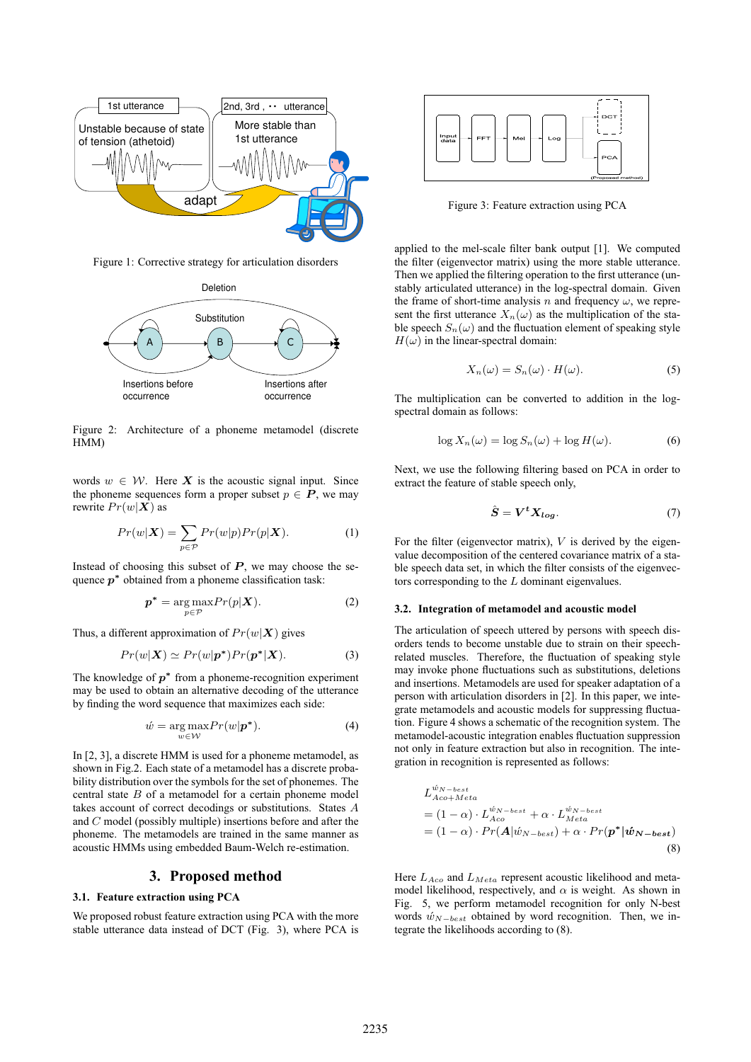

Figure 1: Corrective strategy for articulation disorders



Figure 2: Architecture of a phoneme metamodel (discrete HMM)

words  $w \in \mathcal{W}$ . Here X is the acoustic signal input. Since the phoneme sequences form a proper subset  $p \in P$ , we may rewrite  $Pr(w|\boldsymbol{X})$  as

$$
Pr(w|\boldsymbol{X}) = \sum_{p \in \mathcal{P}} Pr(w|p) Pr(p|\boldsymbol{X}).
$$
 (1)

Instead of choosing this subset of  $P$ , we may choose the sequence  $p^*$  obtained from a phoneme classification task:

$$
p^* = \underset{p \in \mathcal{P}}{\arg \max} Pr(p|\mathbf{X}). \tag{2}
$$

Thus, a different approximation of  $Pr(w|\textbf{X})$  gives

$$
Pr(w|\mathbf{X}) \simeq Pr(w|\mathbf{p}^*) Pr(\mathbf{p}^*|\mathbf{X}). \tag{3}
$$

The knowledge of  $p^*$  from a phoneme-recognition experiment may be used to obtain an alternative decoding of the utterance by finding the word sequence that maximizes each side:

$$
\acute{w} = \underset{w \in \mathcal{W}}{\arg \max} Pr(w|\boldsymbol{p}^*). \tag{4}
$$

In [2, 3], a discrete HMM is used for a phoneme metamodel, as shown in Fig.2. Each state of a metamodel has a discrete probability distribution over the symbols for the set of phonemes. The central state  $B$  of a metamodel for a certain phoneme model takes account of correct decodings or substitutions. States A and C model (possibly multiple) insertions before and after the phoneme. The metamodels are trained in the same manner as acoustic HMMs using embedded Baum-Welch re-estimation.

### **3. Proposed method**

### **3.1. Feature extraction using PCA**

We proposed robust feature extraction using PCA with the more stable utterance data instead of DCT (Fig. 3), where PCA is



Figure 3: Feature extraction using PCA

applied to the mel-scale filter bank output [1]. We computed the filter (eigenvector matrix) using the more stable utterance. Then we applied the filtering operation to the first utterance (unstably articulated utterance) in the log-spectral domain. Given the frame of short-time analysis n and frequency  $\omega$ , we represent the first utterance  $X_n(\omega)$  as the multiplication of the stable speech  $S_n(\omega)$  and the fluctuation element of speaking style  $H(\omega)$  in the linear-spectral domain:

$$
X_n(\omega) = S_n(\omega) \cdot H(\omega). \tag{5}
$$

The multiplication can be converted to addition in the logspectral domain as follows:

$$
\log X_n(\omega) = \log S_n(\omega) + \log H(\omega). \tag{6}
$$

Next, we use the following filtering based on PCA in order to extract the feature of stable speech only,

$$
\hat{S} = V^t X_{log}. \tag{7}
$$

For the filter (eigenvector matrix),  $V$  is derived by the eigenvalue decomposition of the centered covariance matrix of a stable speech data set, in which the filter consists of the eigenvectors corresponding to the L dominant eigenvalues.

#### **3.2. Integration of metamodel and acoustic model**

The articulation of speech uttered by persons with speech disorders tends to become unstable due to strain on their speechrelated muscles. Therefore, the fluctuation of speaking style may invoke phone fluctuations such as substitutions, deletions and insertions. Metamodels are used for speaker adaptation of a person with articulation disorders in [2]. In this paper, we integrate metamodels and acoustic models for suppressing fluctuation. Figure 4 shows a schematic of the recognition system. The metamodel-acoustic integration enables fluctuation suppression not only in feature extraction but also in recognition. The integration in recognition is represented as follows:

$$
L_{Acc+Meta}^{\acute{w}_{N-best}} = (1 - \alpha) \cdot L_{Acc}^{\acute{w}_{N-best}} + \alpha \cdot L_{Meta}^{\acute{w}_{N-best}} = (1 - \alpha) \cdot Pr(\mathbf{A}|\acute{w}_{N-best}) + \alpha \cdot Pr(\mathbf{p}^*|\acute{w}_{N-best})
$$
\n(8)

Here  $L_{A_{CO}}$  and  $L_{Meta}$  represent acoustic likelihood and metamodel likelihood, respectively, and  $\alpha$  is weight. As shown in Fig. 5, we perform metamodel recognition for only N-best words  $\hat{w}_{N-best}$  obtained by word recognition. Then, we integrate the likelihoods according to (8).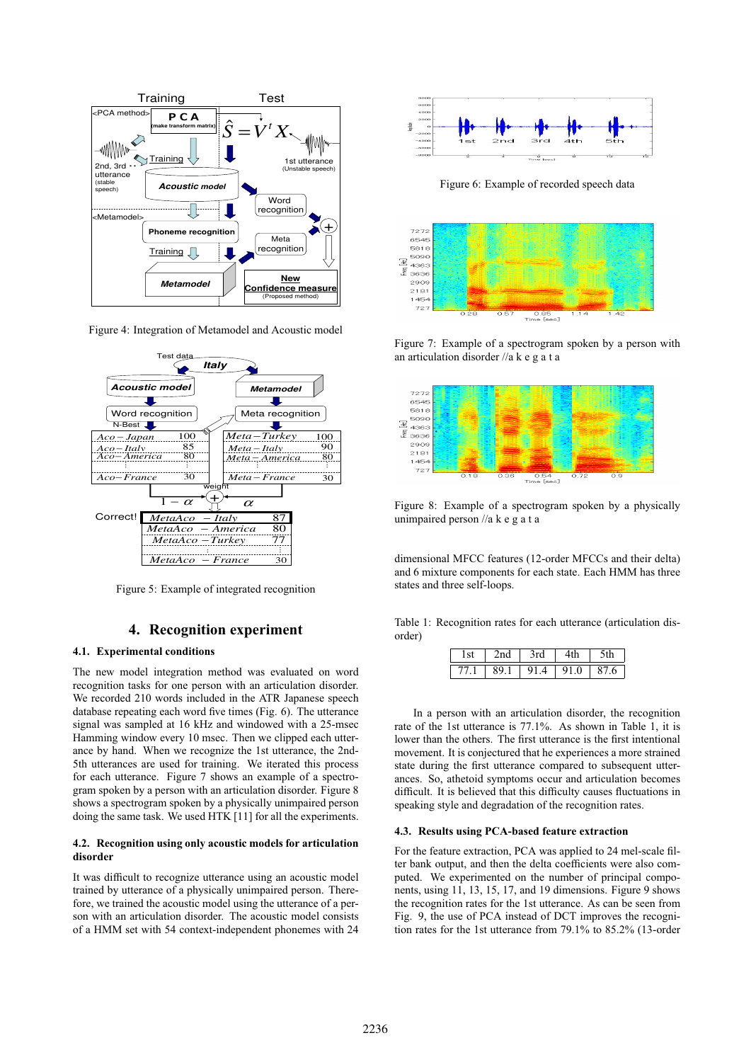

Figure 4: Integration of Metamodel and Acoustic model



Figure 5: Example of integrated recognition

# **4. Recognition experiment**

### **4.1. Experimental conditions**

The new model integration method was evaluated on word recognition tasks for one person with an articulation disorder. We recorded 210 words included in the ATR Japanese speech database repeating each word five times (Fig. 6). The utterance signal was sampled at 16 kHz and windowed with a 25-msec Hamming window every 10 msec. Then we clipped each utterance by hand. When we recognize the 1st utterance, the 2nd-5th utterances are used for training. We iterated this process for each utterance. Figure 7 shows an example of a spectrogram spoken by a person with an articulation disorder. Figure 8 shows a spectrogram spoken by a physically unimpaired person doing the same task. We used HTK [11] for all the experiments.

### **4.2. Recognition using only acoustic models for articulation disorder**

It was difficult to recognize utterance using an acoustic model trained by utterance of a physically unimpaired person. Therefore, we trained the acoustic model using the utterance of a person with an articulation disorder. The acoustic model consists of a HMM set with 54 context-independent phonemes with 24



Figure 6: Example of recorded speech data



Figure 7: Example of a spectrogram spoken by a person with an articulation disorder //akegata



Figure 8: Example of a spectrogram spoken by a physically unimpaired person //akegata

dimensional MFCC features (12-order MFCCs and their delta) and 6 mixture components for each state. Each HMM has three states and three self-loops.

Table 1: Recognition rates for each utterance (articulation disorder)

| $-1$ | rd | ـ1، 1    |  |
|------|----|----------|--|
|      | Ω1 | 0<br>Q 1 |  |

In a person with an articulation disorder, the recognition rate of the 1st utterance is 77.1%. As shown in Table 1, it is lower than the others. The first utterance is the first intentional movement. It is conjectured that he experiences a more strained state during the first utterance compared to subsequent utterances. So, athetoid symptoms occur and articulation becomes difficult. It is believed that this difficulty causes fluctuations in speaking style and degradation of the recognition rates.

#### **4.3. Results using PCA-based feature extraction**

For the feature extraction, PCA was applied to 24 mel-scale filter bank output, and then the delta coefficients were also computed. We experimented on the number of principal components, using 11, 13, 15, 17, and 19 dimensions. Figure 9 shows the recognition rates for the 1st utterance. As can be seen from Fig. 9, the use of PCA instead of DCT improves the recognition rates for the 1st utterance from 79.1% to 85.2% (13-order